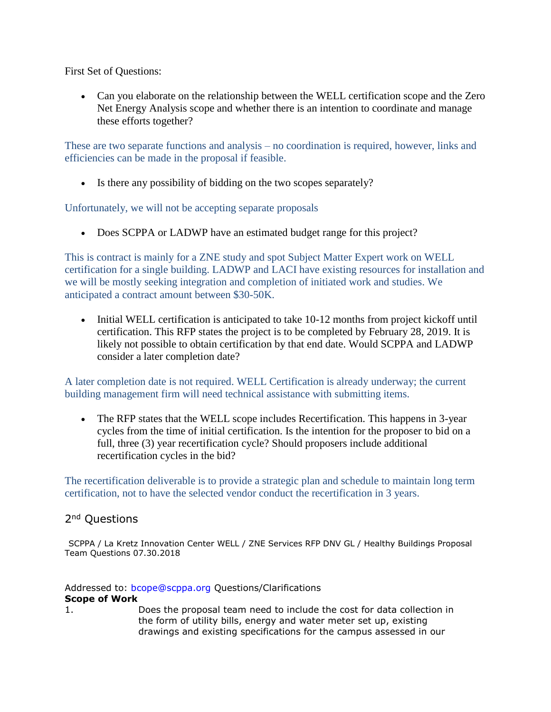First Set of Questions:

• Can you elaborate on the relationship between the WELL certification scope and the Zero Net Energy Analysis scope and whether there is an intention to coordinate and manage these efforts together?

These are two separate functions and analysis – no coordination is required, however, links and efficiencies can be made in the proposal if feasible.

• Is there any possibility of bidding on the two scopes separately?

Unfortunately, we will not be accepting separate proposals

• Does SCPPA or LADWP have an estimated budget range for this project?

This is contract is mainly for a ZNE study and spot Subject Matter Expert work on WELL certification for a single building. LADWP and LACI have existing resources for installation and we will be mostly seeking integration and completion of initiated work and studies. We anticipated a contract amount between \$30-50K.

• Initial WELL certification is anticipated to take 10-12 months from project kickoff until certification. This RFP states the project is to be completed by February 28, 2019. It is likely not possible to obtain certification by that end date. Would SCPPA and LADWP consider a later completion date?

A later completion date is not required. WELL Certification is already underway; the current building management firm will need technical assistance with submitting items.

• The RFP states that the WELL scope includes Recertification. This happens in 3-year cycles from the time of initial certification. Is the intention for the proposer to bid on a full, three (3) year recertification cycle? Should proposers include additional recertification cycles in the bid?

The recertification deliverable is to provide a strategic plan and schedule to maintain long term certification, not to have the selected vendor conduct the recertification in 3 years.

## 2<sup>nd</sup> Questions

SCPPA / La Kretz Innovation Center WELL / ZNE Services RFP DNV GL / Healthy Buildings Proposal Team Questions 07.30.2018

Addressed to: bcope@scppa.org Questions/Clarifications **Scope of Work** 

1. Does the proposal team need to include the cost for data collection in the form of utility bills, energy and water meter set up, existing drawings and existing specifications for the campus assessed in our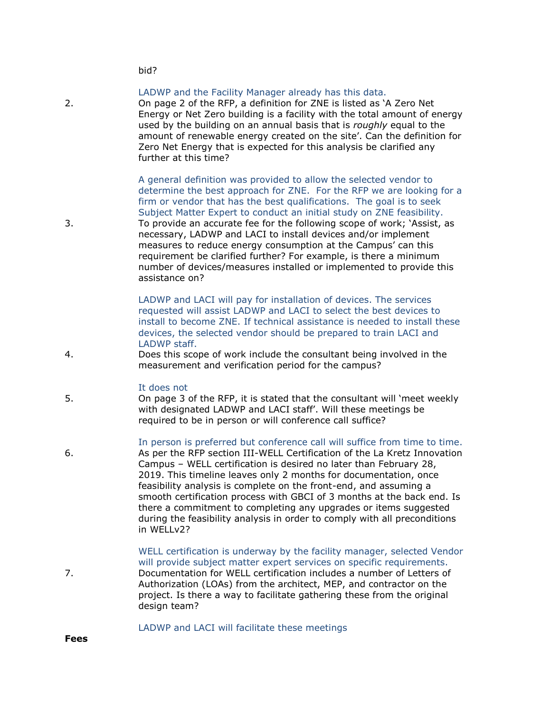bid?

LADWP and the Facility Manager already has this data. 2. On page 2 of the RFP, a definition for ZNE is listed as 'A Zero Net Energy or Net Zero building is a facility with the total amount of energy used by the building on an annual basis that is *roughly* equal to the amount of renewable energy created on the site'. Can the definition for Zero Net Energy that is expected for this analysis be clarified any further at this time?

> A general definition was provided to allow the selected vendor to determine the best approach for ZNE. For the RFP we are looking for a firm or vendor that has the best qualifications. The goal is to seek Subject Matter Expert to conduct an initial study on ZNE feasibility.

3. To provide an accurate fee for the following scope of work; 'Assist, as necessary, LADWP and LACI to install devices and/or implement measures to reduce energy consumption at the Campus' can this requirement be clarified further? For example, is there a minimum number of devices/measures installed or implemented to provide this assistance on?

> LADWP and LACI will pay for installation of devices. The services requested will assist LADWP and LACI to select the best devices to install to become ZNE. If technical assistance is needed to install these devices, the selected vendor should be prepared to train LACI and LADWP staff.

4. Does this scope of work include the consultant being involved in the measurement and verification period for the campus?

#### It does not

5. On page 3 of the RFP, it is stated that the consultant will 'meet weekly with designated LADWP and LACI staff'. Will these meetings be required to be in person or will conference call suffice?

In person is preferred but conference call will suffice from time to time.

- 6. As per the RFP section III-WELL Certification of the La Kretz Innovation Campus – WELL certification is desired no later than February 28, 2019. This timeline leaves only 2 months for documentation, once feasibility analysis is complete on the front-end, and assuming a smooth certification process with GBCI of 3 months at the back end. Is there a commitment to completing any upgrades or items suggested during the feasibility analysis in order to comply with all preconditions in WELLv2?
- WELL certification is underway by the facility manager, selected Vendor will provide subject matter expert services on specific requirements. 7. Documentation for WELL certification includes a number of Letters of Authorization (LOAs) from the architect, MEP, and contractor on the project. Is there a way to facilitate gathering these from the original design team?

## LADWP and LACI will facilitate these meetings

**Fees**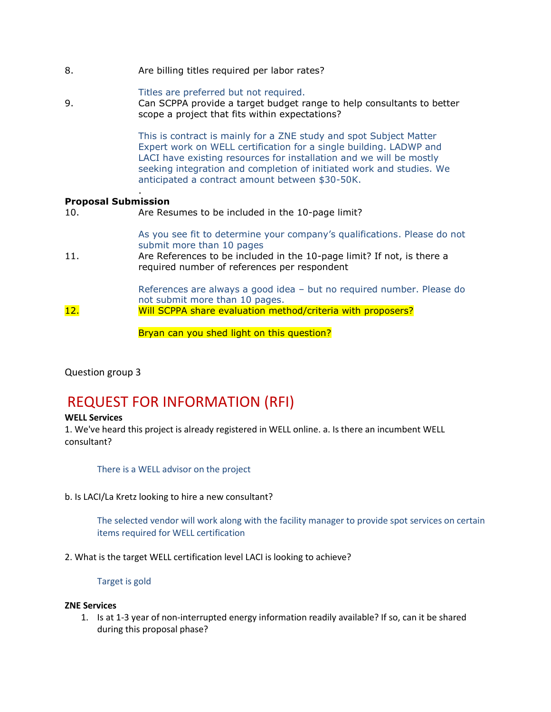8. Are billing titles required per labor rates?

## Titles are preferred but not required.

9. Can SCPPA provide a target budget range to help consultants to better scope a project that fits within expectations?

> This is contract is mainly for a ZNE study and spot Subject Matter Expert work on WELL certification for a single building. LADWP and LACI have existing resources for installation and we will be mostly seeking integration and completion of initiated work and studies. We anticipated a contract amount between \$30-50K.

## **Proposal Submission**

.

10. Are Resumes to be included in the 10-page limit?

As you see fit to determine your company's qualifications. Please do not submit more than 10 pages

11. Are References to be included in the 10-page limit? If not, is there a required number of references per respondent

References are always a good idea – but no required number. Please do not submit more than 10 pages. 12. Will SCPPA share evaluation method/criteria with proposers?

Bryan can you shed light on this question?

Question group 3

# REQUEST FOR INFORMATION (RFI)

### **WELL Services**

1. We've heard this project is already registered in WELL online. a. Is there an incumbent WELL consultant?

There is a WELL advisor on the project

b. Is LACI/La Kretz looking to hire a new consultant?

The selected vendor will work along with the facility manager to provide spot services on certain items required for WELL certification

2. What is the target WELL certification level LACI is looking to achieve?

Target is gold

### **ZNE Services**

1. Is at 1-3 year of non-interrupted energy information readily available? If so, can it be shared during this proposal phase?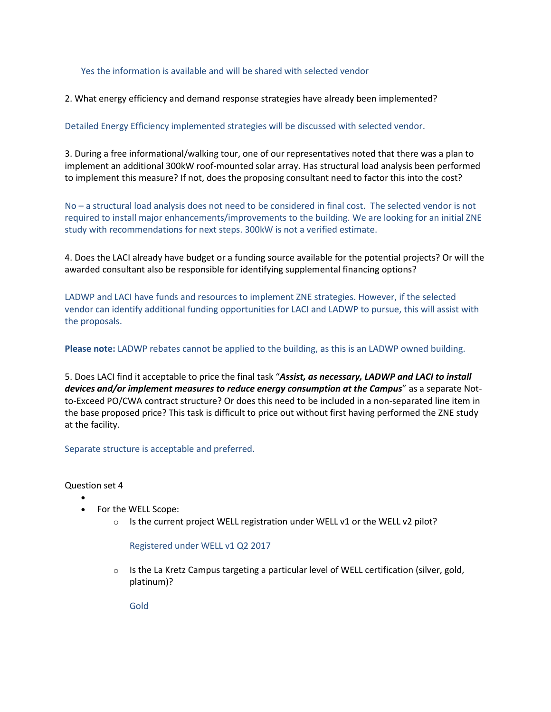### Yes the information is available and will be shared with selected vendor

2. What energy efficiency and demand response strategies have already been implemented?

Detailed Energy Efficiency implemented strategies will be discussed with selected vendor.

3. During a free informational/walking tour, one of our representatives noted that there was a plan to implement an additional 300kW roof-mounted solar array. Has structural load analysis been performed to implement this measure? If not, does the proposing consultant need to factor this into the cost?

No – a structural load analysis does not need to be considered in final cost. The selected vendor is not required to install major enhancements/improvements to the building. We are looking for an initial ZNE study with recommendations for next steps. 300kW is not a verified estimate.

4. Does the LACI already have budget or a funding source available for the potential projects? Or will the awarded consultant also be responsible for identifying supplemental financing options?

LADWP and LACI have funds and resources to implement ZNE strategies. However, if the selected vendor can identify additional funding opportunities for LACI and LADWP to pursue, this will assist with the proposals.

**Please note:** LADWP rebates cannot be applied to the building, as this is an LADWP owned building.

5. Does LACI find it acceptable to price the final task "*Assist, as necessary, LADWP and LACI to install devices and/or implement measures to reduce energy consumption at the Campus*" as a separate Notto-Exceed PO/CWA contract structure? Or does this need to be included in a non-separated line item in the base proposed price? This task is difficult to price out without first having performed the ZNE study at the facility.

Separate structure is acceptable and preferred.

Question set 4

•

- For the WELL Scope:
	- $\circ$  Is the current project WELL registration under WELL v1 or the WELL v2 pilot?

Registered under WELL v1 Q2 2017

 $\circ$  Is the La Kretz Campus targeting a particular level of WELL certification (silver, gold, platinum)?

Gold